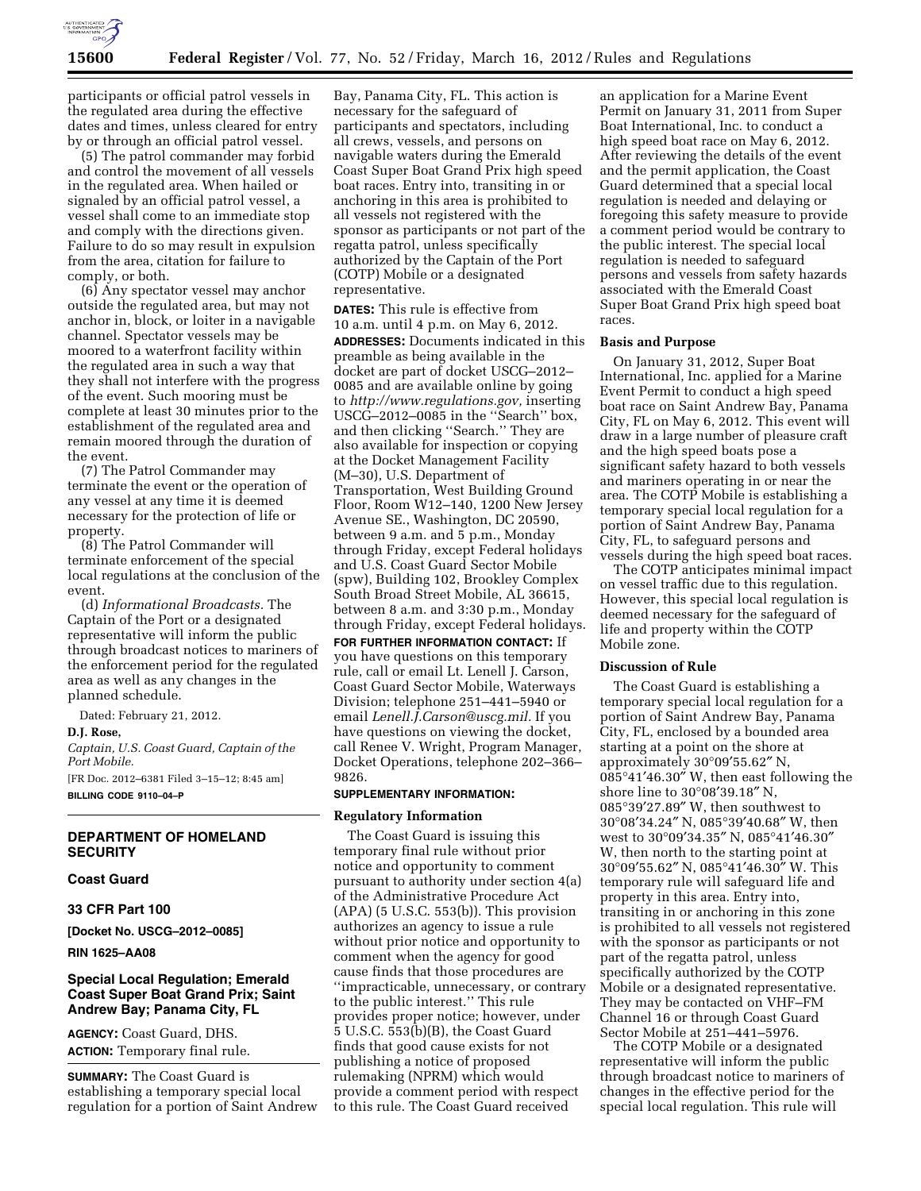

participants or official patrol vessels in the regulated area during the effective dates and times, unless cleared for entry by or through an official patrol vessel.

(5) The patrol commander may forbid and control the movement of all vessels in the regulated area. When hailed or signaled by an official patrol vessel, a vessel shall come to an immediate stop and comply with the directions given. Failure to do so may result in expulsion from the area, citation for failure to comply, or both.

(6) Any spectator vessel may anchor outside the regulated area, but may not anchor in, block, or loiter in a navigable channel. Spectator vessels may be moored to a waterfront facility within the regulated area in such a way that they shall not interfere with the progress of the event. Such mooring must be complete at least 30 minutes prior to the establishment of the regulated area and remain moored through the duration of the event.

(7) The Patrol Commander may terminate the event or the operation of any vessel at any time it is deemed necessary for the protection of life or property.

(8) The Patrol Commander will terminate enforcement of the special local regulations at the conclusion of the event.

(d) *Informational Broadcasts.* The Captain of the Port or a designated representative will inform the public through broadcast notices to mariners of the enforcement period for the regulated area as well as any changes in the planned schedule.

Dated: February 21, 2012.

#### **D.J. Rose,**

*Captain, U.S. Coast Guard, Captain of the Port Mobile.* 

[FR Doc. 2012–6381 Filed 3–15–12; 8:45 am] **BILLING CODE 9110–04–P** 

# **DEPARTMENT OF HOMELAND SECURITY**

#### **Coast Guard**

# **33 CFR Part 100**

**[Docket No. USCG–2012–0085]** 

## **RIN 1625–AA08**

## **Special Local Regulation; Emerald Coast Super Boat Grand Prix; Saint Andrew Bay; Panama City, FL**

**AGENCY:** Coast Guard, DHS. **ACTION:** Temporary final rule.

**SUMMARY:** The Coast Guard is establishing a temporary special local regulation for a portion of Saint Andrew

Bay, Panama City, FL. This action is necessary for the safeguard of participants and spectators, including all crews, vessels, and persons on navigable waters during the Emerald Coast Super Boat Grand Prix high speed boat races. Entry into, transiting in or anchoring in this area is prohibited to all vessels not registered with the sponsor as participants or not part of the regatta patrol, unless specifically authorized by the Captain of the Port (COTP) Mobile or a designated representative.

**DATES:** This rule is effective from 10 a.m. until 4 p.m. on May 6, 2012. **ADDRESSES:** Documents indicated in this preamble as being available in the docket are part of docket USCG–2012– 0085 and are available online by going to *[http://www.regulations.gov,](http://www.regulations.gov)* inserting USCG–2012–0085 in the ''Search'' box, and then clicking ''Search.'' They are also available for inspection or copying at the Docket Management Facility (M–30), U.S. Department of Transportation, West Building Ground Floor, Room W12–140, 1200 New Jersey Avenue SE., Washington, DC 20590, between 9 a.m. and 5 p.m., Monday through Friday, except Federal holidays and U.S. Coast Guard Sector Mobile (spw), Building 102, Brookley Complex South Broad Street Mobile, AL 36615, between 8 a.m. and 3:30 p.m., Monday through Friday, except Federal holidays.

**FOR FURTHER INFORMATION CONTACT:** If you have questions on this temporary rule, call or email Lt. Lenell J. Carson, Coast Guard Sector Mobile, Waterways Division; telephone 251–441–5940 or email *Lenell.J.Carson@uscg.mil.* If you have questions on viewing the docket, call Renee V. Wright, Program Manager, Docket Operations, telephone 202–366– 9826.

# **SUPPLEMENTARY INFORMATION:**

#### **Regulatory Information**

The Coast Guard is issuing this temporary final rule without prior notice and opportunity to comment pursuant to authority under section 4(a) of the Administrative Procedure Act (APA) (5 U.S.C. 553(b)). This provision authorizes an agency to issue a rule without prior notice and opportunity to comment when the agency for good cause finds that those procedures are ''impracticable, unnecessary, or contrary to the public interest.'' This rule provides proper notice; however, under 5 U.S.C. 553(b)(B), the Coast Guard finds that good cause exists for not publishing a notice of proposed rulemaking (NPRM) which would provide a comment period with respect to this rule. The Coast Guard received

an application for a Marine Event Permit on January 31, 2011 from Super Boat International, Inc. to conduct a high speed boat race on May 6, 2012. After reviewing the details of the event and the permit application, the Coast Guard determined that a special local regulation is needed and delaying or foregoing this safety measure to provide a comment period would be contrary to the public interest. The special local regulation is needed to safeguard persons and vessels from safety hazards associated with the Emerald Coast Super Boat Grand Prix high speed boat races.

## **Basis and Purpose**

On January 31, 2012, Super Boat International, Inc. applied for a Marine Event Permit to conduct a high speed boat race on Saint Andrew Bay, Panama City, FL on May 6, 2012. This event will draw in a large number of pleasure craft and the high speed boats pose a significant safety hazard to both vessels and mariners operating in or near the area. The COTP Mobile is establishing a temporary special local regulation for a portion of Saint Andrew Bay, Panama City, FL, to safeguard persons and vessels during the high speed boat races.

The COTP anticipates minimal impact on vessel traffic due to this regulation. However, this special local regulation is deemed necessary for the safeguard of life and property within the COTP Mobile zone.

## **Discussion of Rule**

The Coast Guard is establishing a temporary special local regulation for a portion of Saint Andrew Bay, Panama City, FL, enclosed by a bounded area starting at a point on the shore at approximately 30°09′55.62″ N,  $0.085^{\circ}41'46.30''$  W, then east following the shore line to 30°08′39.18″ N, 085°39′27.89″ W, then southwest to 30°08′34.24″ N, 085°39′40.68″ W, then west to 30°09′34.35″ N, 085°41′46.30″ W, then north to the starting point at 30°09′55.62″ N, 085°41′46.30″ W. This temporary rule will safeguard life and property in this area. Entry into, transiting in or anchoring in this zone is prohibited to all vessels not registered with the sponsor as participants or not part of the regatta patrol, unless specifically authorized by the COTP Mobile or a designated representative. They may be contacted on VHF–FM Channel 16 or through Coast Guard Sector Mobile at 251–441–5976.

The COTP Mobile or a designated representative will inform the public through broadcast notice to mariners of changes in the effective period for the special local regulation. This rule will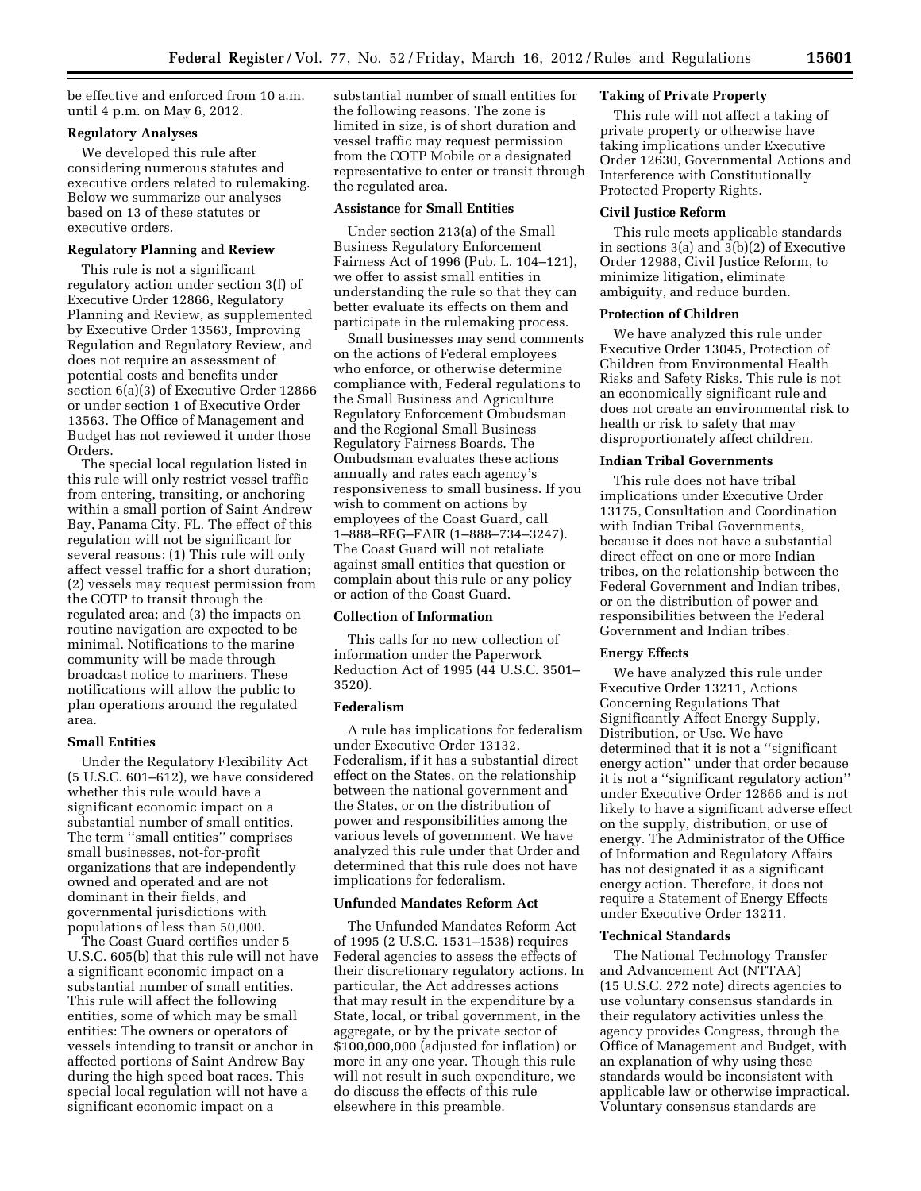be effective and enforced from 10 a.m. until 4 p.m. on May 6, 2012.

## **Regulatory Analyses**

We developed this rule after considering numerous statutes and executive orders related to rulemaking. Below we summarize our analyses based on 13 of these statutes or executive orders.

### **Regulatory Planning and Review**

This rule is not a significant regulatory action under section 3(f) of Executive Order 12866, Regulatory Planning and Review, as supplemented by Executive Order 13563, Improving Regulation and Regulatory Review, and does not require an assessment of potential costs and benefits under section 6(a)(3) of Executive Order 12866 or under section 1 of Executive Order 13563. The Office of Management and Budget has not reviewed it under those Orders.

The special local regulation listed in this rule will only restrict vessel traffic from entering, transiting, or anchoring within a small portion of Saint Andrew Bay, Panama City, FL. The effect of this regulation will not be significant for several reasons: (1) This rule will only affect vessel traffic for a short duration; (2) vessels may request permission from the COTP to transit through the regulated area; and (3) the impacts on routine navigation are expected to be minimal. Notifications to the marine community will be made through broadcast notice to mariners. These notifications will allow the public to plan operations around the regulated area.

# **Small Entities**

Under the Regulatory Flexibility Act (5 U.S.C. 601–612), we have considered whether this rule would have a significant economic impact on a substantial number of small entities. The term ''small entities'' comprises small businesses, not-for-profit organizations that are independently owned and operated and are not dominant in their fields, and governmental jurisdictions with populations of less than 50,000.

The Coast Guard certifies under 5 U.S.C. 605(b) that this rule will not have a significant economic impact on a substantial number of small entities. This rule will affect the following entities, some of which may be small entities: The owners or operators of vessels intending to transit or anchor in affected portions of Saint Andrew Bay during the high speed boat races. This special local regulation will not have a significant economic impact on a

substantial number of small entities for the following reasons. The zone is limited in size, is of short duration and vessel traffic may request permission from the COTP Mobile or a designated representative to enter or transit through the regulated area.

# **Assistance for Small Entities**

Under section 213(a) of the Small Business Regulatory Enforcement Fairness Act of 1996 (Pub. L. 104–121), we offer to assist small entities in understanding the rule so that they can better evaluate its effects on them and participate in the rulemaking process.

Small businesses may send comments on the actions of Federal employees who enforce, or otherwise determine compliance with, Federal regulations to the Small Business and Agriculture Regulatory Enforcement Ombudsman and the Regional Small Business Regulatory Fairness Boards. The Ombudsman evaluates these actions annually and rates each agency's responsiveness to small business. If you wish to comment on actions by employees of the Coast Guard, call 1–888–REG–FAIR (1–888–734–3247). The Coast Guard will not retaliate against small entities that question or complain about this rule or any policy or action of the Coast Guard.

### **Collection of Information**

This calls for no new collection of information under the Paperwork Reduction Act of 1995 (44 U.S.C. 3501– 3520).

### **Federalism**

A rule has implications for federalism under Executive Order 13132, Federalism, if it has a substantial direct effect on the States, on the relationship between the national government and the States, or on the distribution of power and responsibilities among the various levels of government. We have analyzed this rule under that Order and determined that this rule does not have implications for federalism.

### **Unfunded Mandates Reform Act**

The Unfunded Mandates Reform Act of 1995 (2 U.S.C. 1531–1538) requires Federal agencies to assess the effects of their discretionary regulatory actions. In particular, the Act addresses actions that may result in the expenditure by a State, local, or tribal government, in the aggregate, or by the private sector of \$100,000,000 (adjusted for inflation) or more in any one year. Though this rule will not result in such expenditure, we do discuss the effects of this rule elsewhere in this preamble.

# **Taking of Private Property**

This rule will not affect a taking of private property or otherwise have taking implications under Executive Order 12630, Governmental Actions and Interference with Constitutionally Protected Property Rights.

#### **Civil Justice Reform**

This rule meets applicable standards in sections 3(a) and 3(b)(2) of Executive Order 12988, Civil Justice Reform, to minimize litigation, eliminate ambiguity, and reduce burden.

## **Protection of Children**

We have analyzed this rule under Executive Order 13045, Protection of Children from Environmental Health Risks and Safety Risks. This rule is not an economically significant rule and does not create an environmental risk to health or risk to safety that may disproportionately affect children.

# **Indian Tribal Governments**

This rule does not have tribal implications under Executive Order 13175, Consultation and Coordination with Indian Tribal Governments, because it does not have a substantial direct effect on one or more Indian tribes, on the relationship between the Federal Government and Indian tribes, or on the distribution of power and responsibilities between the Federal Government and Indian tribes.

### **Energy Effects**

We have analyzed this rule under Executive Order 13211, Actions Concerning Regulations That Significantly Affect Energy Supply, Distribution, or Use. We have determined that it is not a ''significant energy action'' under that order because it is not a ''significant regulatory action'' under Executive Order 12866 and is not likely to have a significant adverse effect on the supply, distribution, or use of energy. The Administrator of the Office of Information and Regulatory Affairs has not designated it as a significant energy action. Therefore, it does not require a Statement of Energy Effects under Executive Order 13211.

### **Technical Standards**

The National Technology Transfer and Advancement Act (NTTAA) (15 U.S.C. 272 note) directs agencies to use voluntary consensus standards in their regulatory activities unless the agency provides Congress, through the Office of Management and Budget, with an explanation of why using these standards would be inconsistent with applicable law or otherwise impractical. Voluntary consensus standards are